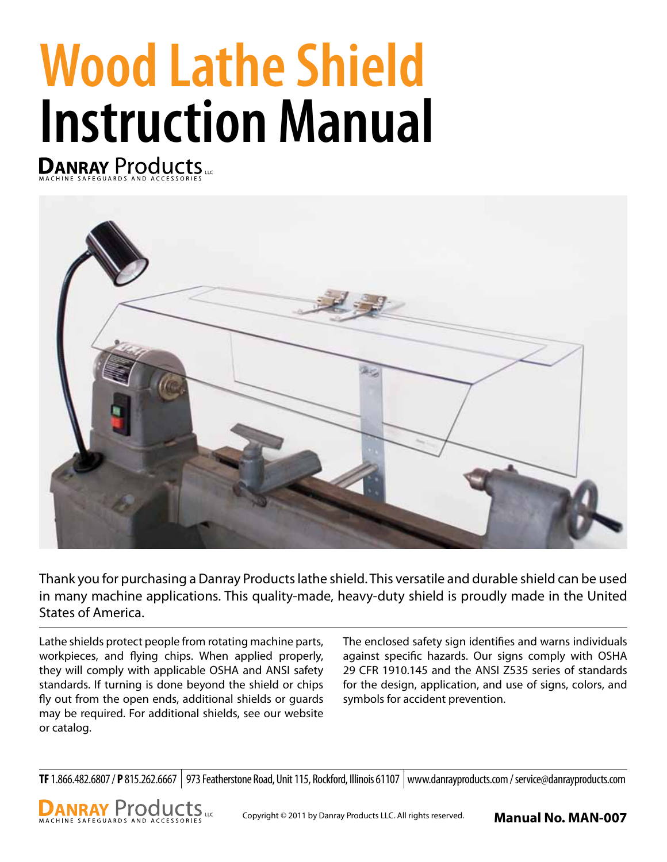# **Wood Lathe Shield Instruction Manual**



Thank you for purchasing a Danray Products lathe shield. This versatile and durable shield can be used in many machine applications. This quality-made, heavy-duty shield is proudly made in the United States of America.

Lathe shields protect people from rotating machine parts, workpieces, and flying chips. When applied properly, they will comply with applicable OSHA and ANSI safety standards. If turning is done beyond the shield or chips fly out from the open ends, additional shields or guards may be required. For additional shields, see our website or catalog.

The enclosed safety sign identifies and warns individuals against specific hazards. Our signs comply with OSHA 29 CFR 1910.145 and the ANSI Z535 series of standards for the design, application, and use of signs, colors, and symbols for accident prevention.

**TF** 1.866.482.6807 / **P** 815.262.6667 973 Featherstone Road, Unit 115, Rockford, Illinois 61107 www.danrayproducts.com / service@danrayproducts.com

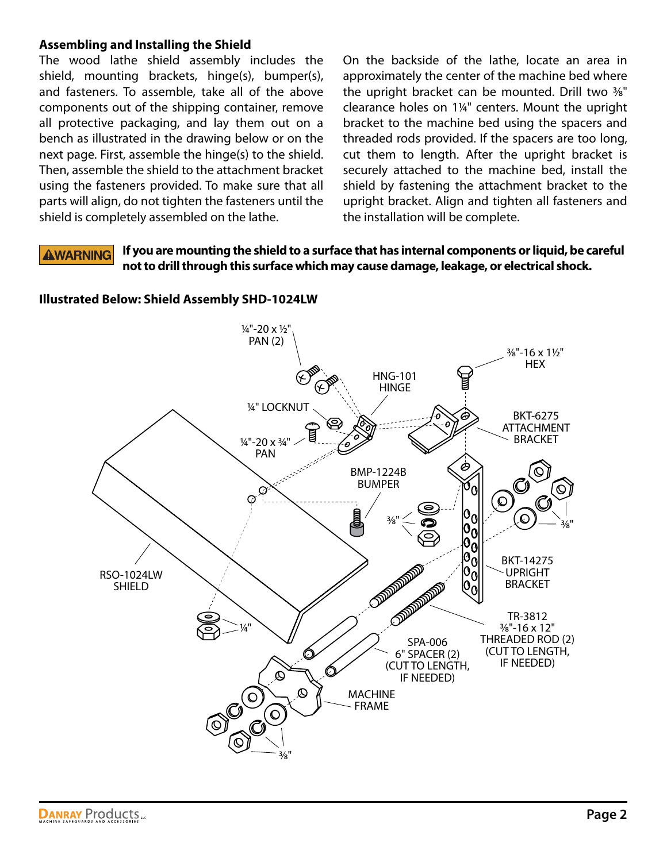# **Assembling and Installing the Shield**

The wood lathe shield assembly includes the shield, mounting brackets, hinge(s), bumper(s), and fasteners. To assemble, take all of the above components out of the shipping container, remove all protective packaging, and lay them out on a bench as illustrated in the drawing below or on the next page. First, assemble the hinge(s) to the shield. Then, assemble the shield to the attachment bracket using the fasteners provided. To make sure that all parts will align, do not tighten the fasteners until the shield is completely assembled on the lathe.

On the backside of the lathe, locate an area in approximately the center of the machine bed where the upright bracket can be mounted. Drill two 3⁄8" clearance holes on 11⁄4" centers. Mount the upright bracket to the machine bed using the spacers and threaded rods provided. If the spacers are too long, cut them to length. After the upright bracket is securely attached to the machine bed, install the shield by fastening the attachment bracket to the upright bracket. Align and tighten all fasteners and the installation will be complete.

### **If you are mounting the shield to a surface that has internal components or liquid, be careful AWARNING not to drill through this surface which may cause damage, leakage, or electrical shock.**



**Illustrated Below: Shield Assembly SHD-1024LW**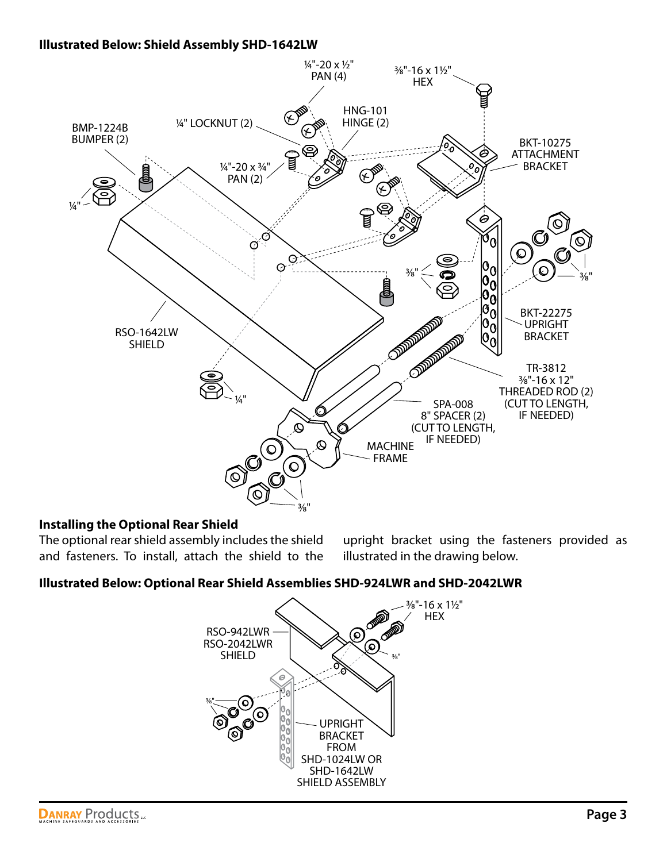### **Illustrated Below: Shield Assembly SHD-1642LW**



# **Installing the Optional Rear Shield**

The optional rear shield assembly includes the shield and fasteners. To install, attach the shield to the upright bracket using the fasteners provided as illustrated in the drawing below.

# **Illustrated Below: Optional Rear Shield Assemblies SHD-924LWR and SHD-2042LWR**